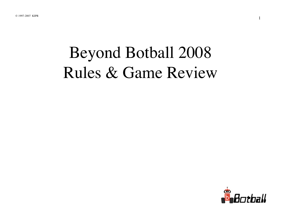# Beyond Botball 2008 Rules & Game Review

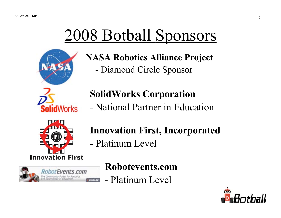# 2008 Botball Sponsors



#### **NASA Robotics Alliance Project**

- Diamond Circle Sponsor

#### **SolidWorks Corporation**

- National Partner in Education



#### **Innovation First, Incorporated**

- Platinum Level



#### **Robotevents.com**

- Platinum Level

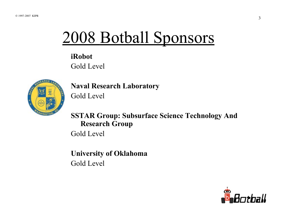#### 2008 Botball Sponsors

#### **iRobot** Gold Level



**Naval Research Laboratory** Gold Level

#### **SSTAR Group: Subsurface Science Technology And Research Group**

Gold Level

**University of Oklahoma** Gold Level

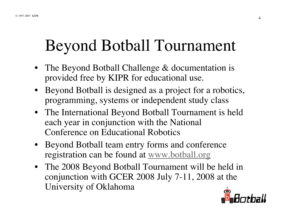# Beyond Botball Tournament

- The Beyond Botball Challenge & documentation is provided free by KIPR for educational use.
- Beyond Botball is designed as a project for a robotics, programming, systems or independent study class
- The International Beyond Botball Tournament is held each year in conjunction with the National Conference on Educational Robotics
- Beyond Botball team entry forms and conference registration can be found at www.botball.org
- The 2008 Beyond Botball Tournament will be held in conjunction with GCER 2008 July 7-11, 2008 at the University of Oklahoma

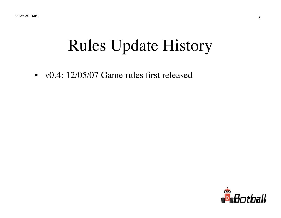#### Rules Update History

• v0.4: 12/05/07 Game rules first released

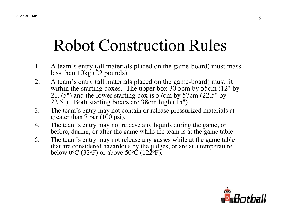#### Robot Construction Rules

- 1. A team's entry (all materials placed on the game-board) must mass less than 10kg (22 pounds).
- 2. A team's entry (all materials placed on the game-board) must fit within the starting boxes. The upper box 30.5cm by 55cm (12" by 21.75") and the lower starting box is 57cm by 57cm (22.5" by 22.5"). Both starting boxes are 38cm high (15").
- 3. The team's entry may not contain or release pressurized materials at greater than 7 bar (100 psi).
- 4. The team's entry may not release any liquids during the game, or before, during, or after the game while the team is at the game table.
- 5. The team's entry may not release any gasses while at the game table that are considered hazardous by the judges, or are at a temperature below 0 $\rm{^oC}$  (32 $\rm{^oF}$ ) or above 50 $\rm{^oC}$  (122 $\rm{^oF}$ ).

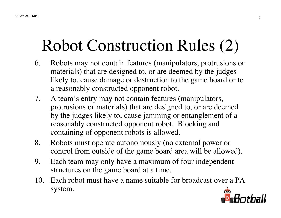# Robot Construction Rules (2)

- 6. Robots may not contain features (manipulators, protrusions or materials) that are designed to, or are deemed by the judges likely to, cause damage or destruction to the game board or to a reasonably constructed opponent robot.
- 7. A team's entry may not contain features (manipulators, protrusions or materials) that are designed to, or are deemed by the judges likely to, cause jamming or entanglement of a reasonably constructed opponent robot. Blocking and containing of opponent robots is allowed.
- 8. Robots must operate autonomously (no external power or control from outside of the game board area will be allowed).
- 9. Each team may only have a maximum of four independent structures on the game board at a time.
- 10. Each robot must have a name suitable for broadcast over a PA system.

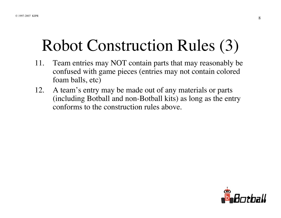### Robot Construction Rules (3)

- 11. Team entries may NOT contain parts that may reasonably be confused with game pieces (entries may not contain colored foam balls, etc)
- 12. A team's entry may be made out of any materials or parts (including Botball and non-Botball kits) as long as the entry conforms to the construction rules above.

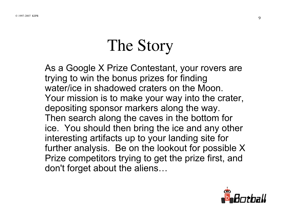# The Story

 As a Google X Prize Contestant, your rovers are trying to win the bonus prizes for finding water/ice in shadowed craters on the Moon. Your mission is to make your way into the crater, depositing sponsor markers along the way. Then search along the caves in the bottom for ice. You should then bring the ice and any other interesting artifacts up to your landing site for further analysis. Be on the lookout for possible X Prize competitors trying to get the prize first, and don't forget about the aliens…

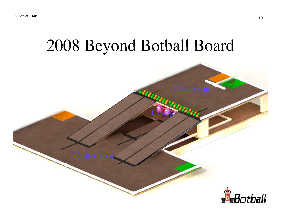#### 2008 Beyond Botball Board

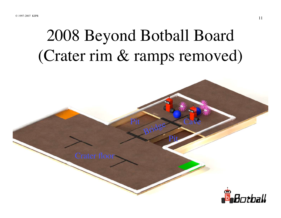### 2008 Beyond Botball Board (Crater rim & ramps removed)

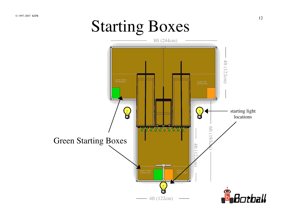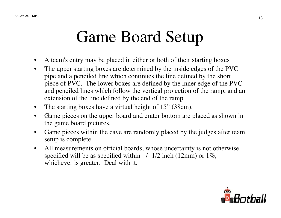#### Game Board Setup

- •A team's entry may be placed in either or both of their starting boxes
- • The upper starting boxes are determined by the inside edges of the PVC pipe and a penciled line which continues the line defined by the short piece of PVC. The lower boxes are defined by the inner edge of the PVC and penciled lines which follow the vertical projection of the ramp, and an extension of the line defined by the end of the ramp.
- •The starting boxes have a virtual height of 15" (38cm).
- $\bullet$  Game pieces on the upper board and crater bottom are placed as shown in the game board pictures.
- • Game pieces within the cave are randomly placed by the judges after team setup is complete.
- $\bullet$  All measurements on official boards, whose uncertainty is not otherwise specified will be as specified within  $+/- 1/2$  inch (12mm) or  $1\%$ , whichever is greater. Deal with it.

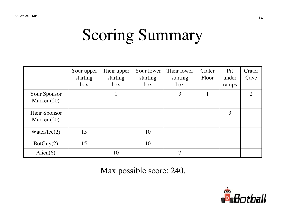# Scoring Summary

|                                | Your upper<br>starting<br>box | Their upper<br>starting<br>box | Your lower<br>starting<br>box | Their lower<br>starting<br>box | Crater<br>Floor | Pit<br>under<br>ramps | Crater<br>Cave |
|--------------------------------|-------------------------------|--------------------------------|-------------------------------|--------------------------------|-----------------|-----------------------|----------------|
| Your Sponsor<br>Marker $(20)$  |                               |                                |                               | 3                              |                 |                       | $\overline{2}$ |
| Their Sponsor<br>Marker $(20)$ |                               |                                |                               |                                |                 | 3                     |                |
| Water/ Ice(2)                  | 15                            |                                | 10                            |                                |                 |                       |                |
| BotGuy(2)                      | 15                            |                                | 10                            |                                |                 |                       |                |
| Alien $(6)$                    |                               | 10                             |                               | 7                              |                 |                       |                |

Max possible score: 240.

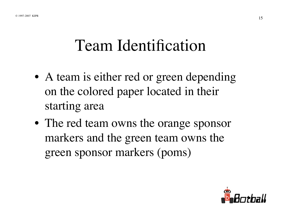#### Team Identification

- A team is either red or green depending on the colored paper located in their starting area
- The red team owns the orange sponsor markers and the green team owns the green sponsor markers (poms)

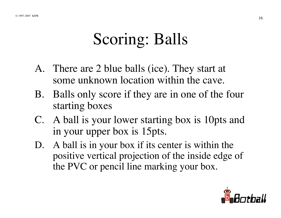### Scoring: Balls

- A. There are 2 blue balls (ice). They start at some unknown location within the cave.
- B. Balls only score if they are in one of the four starting boxes
- C. A ball is your lower starting box is 10pts and in your upper box is 15pts.
- D. A ball is in your box if its center is within the positive vertical projection of the inside edge of the PVC or pencil line marking your box.

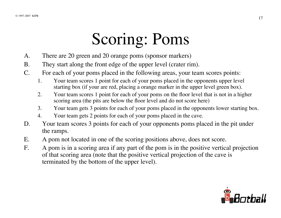# Scoring: Poms

- A. There are 20 green and 20 orange poms (sponsor markers)
- B. They start along the front edge of the upper level (crater rim).
- C. For each of your poms placed in the following areas, your team scores points:
	- 1. Your team scores 1 point for each of your poms placed in the opponents upper level starting box (if your are red, placing a orange marker in the upper level green box).
	- 2. Your team scores 1 point for each of your poms on the floor level that is not in a higher scoring area (the pits are below the floor level and do not score here)
	- 3. Your team gets 3 points for each of your poms placed in the opponents lower starting box.
	- 4. Your team gets 2 points for each of your poms placed in the cave.
- D. Your team scores 3 points for each of your opponents poms placed in the pit under the ramps.
- E. A pom not located in one of the scoring positions above, does not score.
- F. A pom is in a scoring area if any part of the pom is in the positive vertical projection of that scoring area (note that the positive vertical projection of the cave is terminated by the bottom of the upper level).

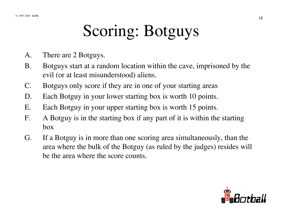# Scoring: Botguys

- A. There are 2 Botguys.
- B. Botguys start at a random location within the cave, imprisoned by the evil (or at least misunderstood) aliens.
- C. Botguys only score if they are in one of your starting areas
- D. Each Botguy in your lower starting box is worth 10 points.
- E. Each Botguy in your upper starting box is worth 15 points.
- F. A Botguy is in the starting box if any part of it is within the starting box
- G. If a Botguy is in more than one scoring area simultaneously, than the area where the bulk of the Botguy (as ruled by the judges) resides will be the area where the score counts.

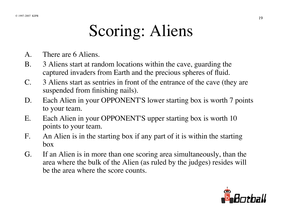# Scoring: Aliens

- A. There are 6 Aliens.
- B. 3 Aliens start at random locations within the cave, guarding the captured invaders from Earth and the precious spheres of fluid.
- C. 3 Aliens start as sentries in front of the entrance of the cave (they are suspended from finishing nails).
- D. Each Alien in your OPPONENT'S lower starting box is worth 7 points to your team.
- E. Each Alien in your OPPONENT'S upper starting box is worth 10 points to your team.
- F. An Alien is in the starting box if any part of it is within the starting box
- G. If an Alien is in more than one scoring area simultaneously, than the area where the bulk of the Alien (as ruled by the judges) resides will be the area where the score counts.

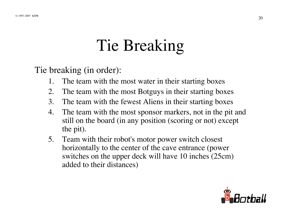# Tie Breaking

Tie breaking (in order):

- 1. The team with the most water in their starting boxes
- 2. The team with the most Botguys in their starting boxes
- 3. The team with the fewest Aliens in their starting boxes
- 4. The team with the most sponsor markers, not in the pit and still on the board (in any position (scoring or not) except the pit).
- 5. Team with their robot's motor power switch closest horizontally to the center of the cave entrance (power switches on the upper deck will have 10 inches (25cm) added to their distances)

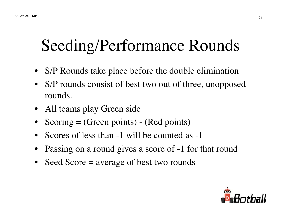# Seeding/Performance Rounds

- $\bullet$ S/P Rounds take place before the double elimination
- $\bullet$  S/P rounds consist of best two out of three, unopposed rounds.
- All teams play Green side
- •Scoring = (Green points) - (Red points)
- •Scores of less than -1 will be counted as -1
- •Passing on a round gives a score of -1 for that round
- $\bullet$ Seed Score = average of best two rounds

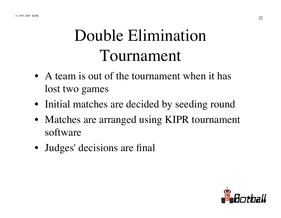# Double Elimination Tournament

- A team is out of the tournament when it has lost two games
- Initial matches are decided by seeding round
- Matches are arranged using KIPR tournament software
- Judges' decisions are final

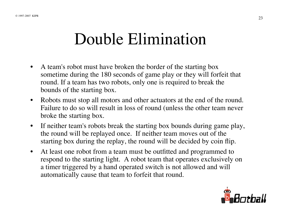#### Double Elimination

- $\bullet$  A team's robot must have broken the border of the starting box sometime during the 180 seconds of game play or they will forfeit that round. If a team has two robots, only one is required to break the bounds of the starting box.
- $\bullet$  Robots must stop all motors and other actuators at the end of the round. Failure to do so will result in loss of round (unless the other team never broke the starting box.
- $\bullet$  If neither team's robots break the starting box bounds during game play, the round will be replayed once. If neither team moves out of the starting box during the replay, the round will be decided by coin flip.
- $\bullet$  At least one robot from a team must be outfitted and programmed to respond to the starting light. A robot team that operates exclusively on a timer triggered by a hand operated switch is not allowed and will automatically cause that team to forfeit that round.

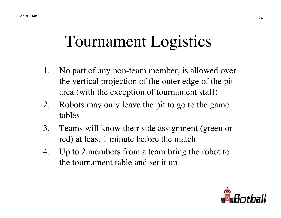#### Tournament Logistics

- 1. No part of any non-team member, is allowed over the vertical projection of the outer edge of the pit area (with the exception of tournament staff)
- 2. Robots may only leave the pit to go to the game tables
- 3. Teams will know their side assignment (green or red) at least 1 minute before the match
- 4. Up to 2 members from a team bring the robot to the tournament table and set it up

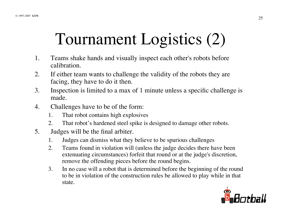## Tournament Logistics (2)

- 1. Teams shake hands and visually inspect each other's robots before calibration.
- 2. If either team wants to challenge the validity of the robots they are facing, they have to do it then.
- 3. Inspection is limited to a max of 1 minute unless a specific challenge is made.
- 4. Challenges have to be of the form:
	- 1. That robot contains high explosives
	- 2. That robot's hardened steel spike is designed to damage other robots.
- 5. Judges will be the final arbiter.
	- 1. Judges can dismiss what they believe to be spurious challenges
	- 2. Teams found in violation will (unless the judge decides there have been extenuating circumstances) forfeit that round or at the judge's discretion, remove the offending pieces before the round begins.
	- 3. In no case will a robot that is determined before the beginning of the round to be in violation of the construction rules be allowed to play while in that state.

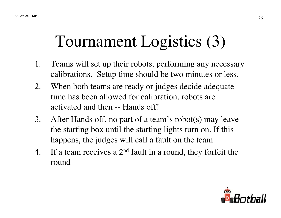#### Tournament Logistics (3)

- 1. Teams will set up their robots, performing any necessary calibrations. Setup time should be two minutes or less.
- 2. When both teams are ready or judges decide adequate time has been allowed for calibration, robots are activated and then -- Hands off!
- 3. After Hands off, no part of a team's robot(s) may leave the starting box until the starting lights turn on. If this happens, the judges will call a fault on the team
- 4. If a team receives a  $2<sup>nd</sup>$  fault in a round, they forfeit the round

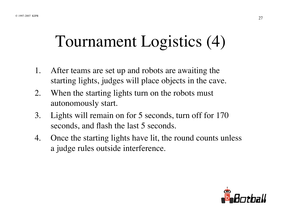#### Tournament Logistics (4)

- 1. After teams are set up and robots are awaiting the starting lights, judges will place objects in the cave.
- 2. When the starting lights turn on the robots must autonomously start.
- 3. Lights will remain on for 5 seconds, turn off for 170 seconds, and flash the last 5 seconds.
- 4. Once the starting lights have lit, the round counts unless a judge rules outside interference.

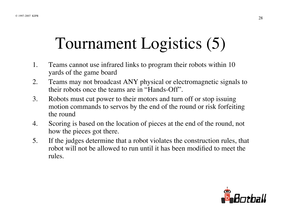### Tournament Logistics (5)

- 1. Teams cannot use infrared links to program their robots within 10 yards of the game board
- 2. Teams may not broadcast ANY physical or electromagnetic signals to their robots once the teams are in "Hands-Off".
- 3. Robots must cut power to their motors and turn off or stop issuing motion commands to servos by the end of the round or risk forfeiting the round
- 4. Scoring is based on the location of pieces at the end of the round, not how the pieces got there.
- 5. If the judges determine that a robot violates the construction rules, that robot will not be allowed to run until it has been modified to meet the rules.

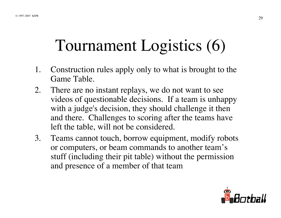### Tournament Logistics (6)

- 1. Construction rules apply only to what is brought to the Game Table.
- 2. There are no instant replays, we do not want to see videos of questionable decisions. If a team is unhappy with a judge's decision, they should challenge it then and there. Challenges to scoring after the teams have left the table, will not be considered.
- 3. Teams cannot touch, borrow equipment, modify robots or computers, or beam commands to another team's stuff (including their pit table) without the permission and presence of a member of that team

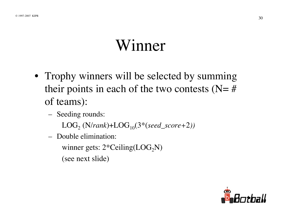#### Winner

- Trophy winners will be selected by summing their points in each of the two contests ( $N=$  # of teams):
	- – Seeding rounds:
		- $LOG_2(N/rank)+LOG_{10}(3*(seed\_score+2))$
	- Double elimination:
		- winner gets:  $2*Ceiling(LOG<sub>2</sub>N)$
		- (see next slide)

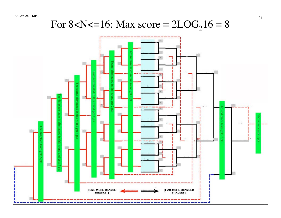#### For 8<N<=16: Max score =  $2LOG_216 = 8$

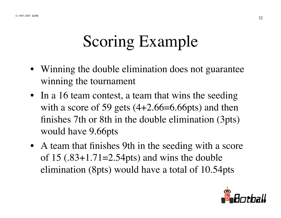### Scoring Example

- Winning the double elimination does not guarantee winning the tournament
- In a 16 team contest, a team that wins the seeding with a score of 59 gets  $(4+2.66=6.66pts)$  and then finishes 7th or 8th in the double elimination (3pts) would have 9.66pts
- A team that finishes 9th in the seeding with a score of  $15(.83+1.71=2.54pts)$  and wins the double elimination (8pts) would have a total of 10.54pts

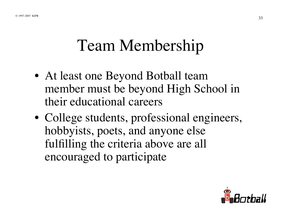#### Team Membership

- At least one Beyond Botball team member must be beyond High School in their educational careers
- College students, professional engineers, hobbyists, poets, and anyone else fulfilling the criteria above are all encouraged to participate

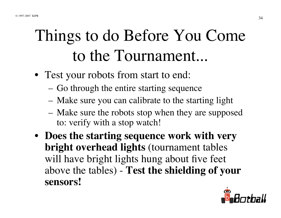# Things to do Before You Come to the Tournament...

- Test your robots from start to end:
	- Go through the entire starting sequence
	- Make sure you can calibrate to the starting light
	- Make sure the robots stop when they are supposed to: verify with a stop watch!
- **Does the starting sequence work with very bright overhead lights** (tournament tables will have bright lights hung about five feet above the tables) - **Test the shielding of your sensors!**